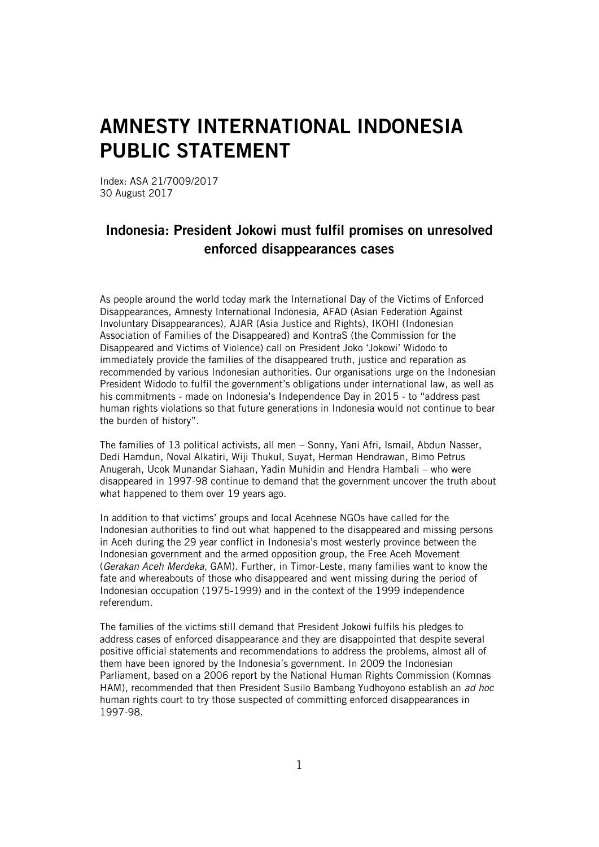## AMNESTY INTERNATIONAL INDONESIA PUBLIC STATEMENT

Index: ASA 21/7009/2017 30 August 2017

## Indonesia: President Jokowi must fulfil promises on unresolved enforced disappearances cases

As people around the world today mark the International Day of the Victims of Enforced Disappearances, Amnesty International Indonesia, AFAD (Asian Federation Against Involuntary Disappearances), AJAR (Asia Justice and Rights), IKOHI (Indonesian Association of Families of the Disappeared) and KontraS (the Commission for the Disappeared and Victims of Violence) call on President Joko 'Jokowi' Widodo to immediately provide the families of the disappeared truth, justice and reparation as recommended by various Indonesian authorities. Our organisations urge on the Indonesian President Widodo to fulfil the government's obligations under international law, as well as his commitments - made on Indonesia's Independence Day in 2015 - to "address past human rights violations so that future generations in Indonesia would not continue to bear the burden of history".

The families of 13 political activists, all men – Sonny, Yani Afri, Ismail, Abdun Nasser, Dedi Hamdun, Noval Alkatiri, Wiji Thukul, Suyat, Herman Hendrawan, Bimo Petrus Anugerah, Ucok Munandar Siahaan, Yadin Muhidin and Hendra Hambali – who were disappeared in 1997-98 continue to demand that the government uncover the truth about what happened to them over 19 years ago.

In addition to that victims' groups and local Acehnese NGOs have called for the Indonesian authorities to find out what happened to the disappeared and missing persons in Aceh during the 29 year conflict in Indonesia's most westerly province between the Indonesian government and the armed opposition group, the Free Aceh Movement (*Gerakan Aceh Merdeka*, GAM). Further, in Timor-Leste, many families want to know the fate and whereabouts of those who disappeared and went missing during the period of Indonesian occupation (1975-1999) and in the context of the 1999 independence referendum.

The families of the victims still demand that President Jokowi fulfils his pledges to address cases of enforced disappearance and they are disappointed that despite several positive official statements and recommendations to address the problems, almost all of them have been ignored by the Indonesia's government. In 2009 the Indonesian Parliament, based on a 2006 report by the National Human Rights Commission (Komnas HAM), recommended that then President Susilo Bambang Yudhoyono establish an *ad hoc*  human rights court to try those suspected of committing enforced disappearances in 1997-98.